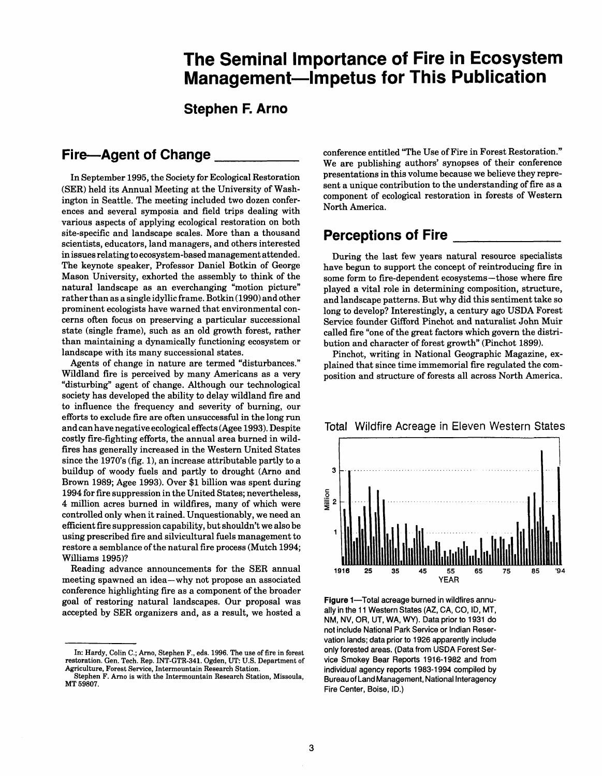# **The Seminal Importance of Fire in Ecosystem Management-Impetus for This Publication**

**Stephen F. Arno** 

### **Fire-Agent of Change**

In September 1995, the Society for Ecological Restoration (SER) held its Annual Meeting at the University of Washington in Seattle. The meeting included two dozen conferences and several symposia and field trips dealing with various aspects of applying ecological restoration on both site-specific and landscape scales. More than a thousand scientists, educators, land managers, and others interested in issues relating to ecosystem-based management attended. The keynote speaker, Professor Daniel Botkin of George Mason University, exhorted the assembly to think of the natural landscape as an everchanging "motion picture" rather than as a single idyllic frame. Botkin (1990) and other prominent ecologists have warned that environmental concerns often focus on preserving a particular successional state (single frame), such as an old growth forest, rather than maintaining a dynamically functioning ecosystem or landscape with its many successional states.

Agents of change in nature are termed "disturbances." Wildland fire is perceived by many Americans as a very "disturbing" agent of change. Although our technological society has developed the ability to delay wildland fire and to influence the frequency and severity of burning, our efforts to exclude fire are often unsuccessful in the long run and can have negative ecological effects (Agee 1993). Despite costly fire-fighting efforts, the annual area burned in wildfires has generally increased in the Western United States since the 1970's (fig. I), an increase attributable partly to a buildup of woody fuels and partly to drought (Arno and Brown 1989; Agee 1993). Over \$1 billion was spent during 1994 for fire suppression in the United States; nevertheless, 4 million acres burned in wildfires, many of which were controlled only when it rained. Unquestionably, we need an efficient fire suppression capability, but shouldn't we also be using prescribed fire and silvicultural fuels management to restore a semblance of the natural fire process (Mutch 1994; Williams 1995)?

Reading advance announcements for the SER annual meeting spawned an idea-why not propose an associated conference highlighting fire as a component of the broader goal of restoring natural landscapes. Our proposal was accepted by SER organizers and, as a result, we hosted a conference entitled "The Use of Fire in Forest Restoration." We are publishing authors' synopses of their conference presentations in this volume because we believe they represent a unique contribution to the understanding of fire as a component of ecological restoration in forests of Western North America.

## **Perceptions of Fire**

During the last few years natural resource specialists have begun to support the concept of reintroducing fire in some form to fire-dependent ecosystems-those where fire played a vital role in determining composition, structure, and landscape patterns. But why did this sentiment take so long to develop? Interestingly, a century ago USDA Forest Service founder Gifford Pinchot and naturalist John Muir called fire "one of the great factors which govern the distribution and character of forest growth" (Pinchot 1899).

Pinchot, writing in National Geographic Magazine, explained that since time immemorial fire regulated the composition and structure of forests all across North America.



Figure 1-Total acreage burned in wildfires annually in the 11 Western States (AZ, CA, CO, ID, MT, NM, NV, OR, UT, WA, **WY).** Data prior to 1931 do not include National Park Sewice or Indian Reservation lands; data prior to 1926 apparently include only forested areas. (Data from USDA Forest Service Smokey Bear Reports 1916-1982 and from individual agency reports 1983-1994 compiled by Bureau of Land Management, National Interagency Fire Center, Boise, ID.)

#### Total Wildfire Acreage in Eleven Western States

In: Hardy, Colin C.; Arno, Stephen F., eds. 1996. The use of fire in forest restoration. Gen. Tech. Rep. INT-GTR-341. Ogden, **UT:** U.S. Department of Agriculture, Forest Service, Intermountain Research Station.

Stephen F. Arno is with the Intermountain Research Station, Missoula, MT 59807.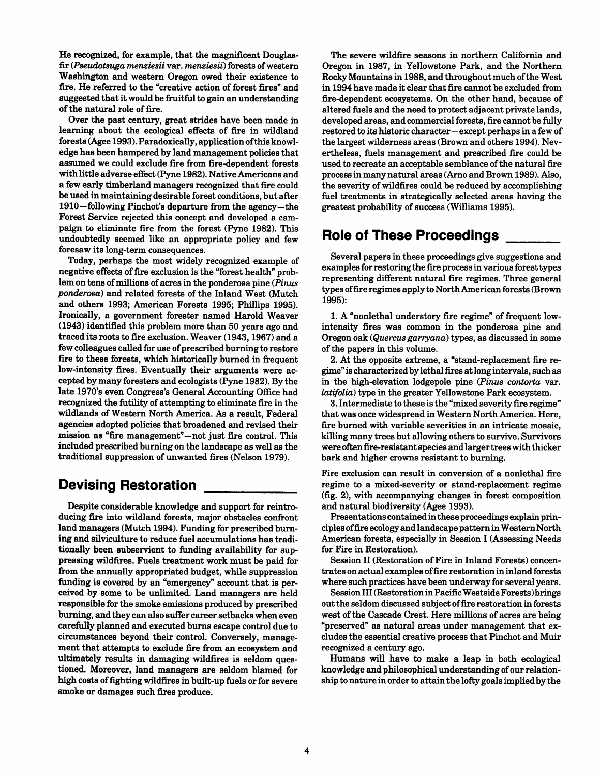He recognized, for example, that the magnificent Douglasfir (Pseudotsuga menziesii var. menziesii) forests of western Washington and western Oregon owed their existence to fire. He referred to the "creative action of forest fires" and suggested that it would be fruitful to gain an understanding of the natural role of fire.

Over the past century, great strides have been made in learning about the ecological effects of fire in wildland forests (Agee 1993). Paradoxically, application ofthis knowledge has been hampered by land management policies that assumed we could exclude fire from fire-dependent forests with little adverse effect (Pyne 1982). Native Americans and a few early timberland managers recognized that fire could be used in maintaining desirable forest conditions, but after 1910 -following Pinchot's departure from the agency- the Forest Service rejected this concept and developed a campaign to eliminate fire from the forest (Pyne 1982). This undoubtedly seemed like an appropriate policy and few foresaw its long-term consequences.

Today, perhaps the most widely recognized example of negative effects of fire exclusion is the "forest health" problem on tens of millions of acres in the ponderosa pine (Pinus ponderosa) and related forests of the Inland West (Mutch and others 1993; American Forests 1995; Phillips 1995). Ironically, a government forester named Harold Weaver (1943) identified this problem more than 50 years ago and traced its roots to fire exclusion. Weaver (1943,1967) and a few colleagues called for use of prescribed burning to restore fire to these forests, which historically burned in frequent low-intensity fires. Eventually their arguments were accepted by many foresters and ecologists (Pyne 1982). By the late 1970's even Congress's General Accounting Office had recognized the futility of attempting to eliminate fire in the wildlands of Western North America. As a result, Federal agencies adopted policies that broadened and revised their mission as "fire management"-not just fire control. This included prescribed burning on the landscape as well as the traditional suppression of unwanted fires (Nelson 1979).

# **Devising Restoration**

Despite considerable knowledge and support for reintroducing fire into wildland forests, major obstacles confront land managers (Mutch 1994). Funding for prescribed burning and silviculture to reduce fuel accumulations has traditionally been subservient to funding availability for suppressing wildfires. Fuels treatment work must be paid for from the annually appropriated budget, while suppression funding is covered by an "emergency" account that is perceived by some to be unlimited. Land managers are held responsible for the smoke emissions produced by prescribed burning, and they can also suffer career setbacks when even carefhlly planned and executed burns escape control due to circumstances beyond their control. Conversely, management that attempts to exclude fire from an ecosystem and ultimately results in damaging wildfires is seldom questioned. Moreover, land managers are seldom blamed for high costs of fighting wildfires in built-up fuels or for severe smoke or damages such fires produce.

The severe wildfire seasons in northern California and Oregon in 1987, in Yellowstone Park, and the Northern Rocky Mountains in 1988, and throughout much of the West in 1994 have made it clear that fire cannot be excluded from fire-dependent ecosystems. On the other hand, because of altered fuels and the need to protect adjacent private lands, developed areas, and commercial forests, fire cannot be fully restored to its historic character-except perhaps in a few of the largest wilderness areas (Brown and others 1994). Nevertheless, fuels management and prescribed fire could be used to recreate an acceptable semblance of the natural fire process in many natural areas (Arno and Brown 1989). Also, the severity of wildfires could be reduced by accomplishing fuel treatments in strategically selected areas having the greatest probability of success (Williams 1995).

# **Role of These Proceedinas**

Several papers in these proceedings give suggestions and examples for restoring the fire process in various forest types representing different natural fire regimes. Three general types of fire regimes apply to North American forests (Brown 1995):

1. A "nonlethal understory fire regime" of frequent lowintensity fires was common in the ponderosa pine and Oregon oak (Quercus garryana) types, as discussed in some of the papers in this volume.

2. At the opposite extreme, a "stand-replacement fire regime" is characterized by lethal fires at long intervals, such as in the high-elevation lodgepole pine (Pinus contorta var. latifolia) type in the greater Yellowstone Park ecosystem.

3. Intermediate to these is the "mixed severity fire regime" that was once widespread in Western North America. Here, fire burned with variable severities in an intricate mosaic, killing many trees but allowing others to survive. Survivors were often fire-resistant species and larger trees with thicker bark and higher crowns resistant to burning.

Fire exclusion can result in conversion of a nonlethal fire regime to a mixed-severity or stand-replacement regime (fig. 2), with accompanying changes in forest composition and natural biodiversity (Agee 1993).

Presentations contained in these proceedings explain principles of fire ecology and landscape pattern in Western North American forests, especially in Session I (Assessing Needs for Fire in Restoration).

Session I1 (Restoration of Fire in Inland Forests) concentrates on actual examples of fire restoration in inland forests where such practices have been underway for several years.

Session I11 (Restoration in Pacific Westside Forests) brings out the seldom discussed subject offire restoration in forests west of the Cascade Crest. Here millions of acres are being "preserved" as natural areas under management that excludes the essential creative process that Pinchot and Muir recognized a century ago.

Humans will have to make a leap in both ecological knowledge and philosophical understanding of our relationship to nature in order to attain the lofty goals implied by the